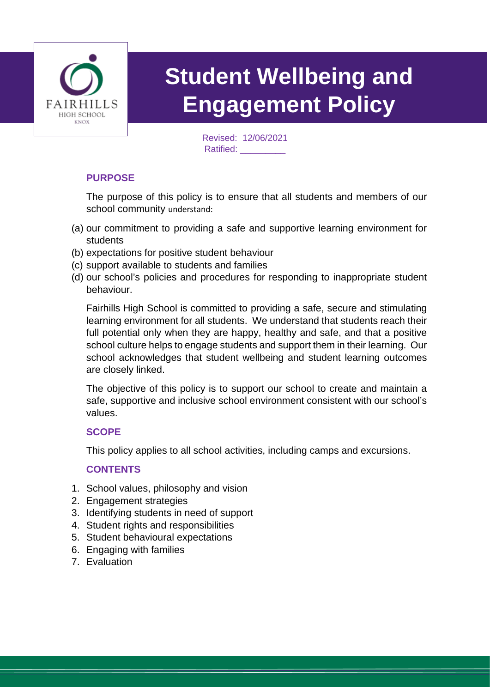

# **Student Wellbeing and Engagement Policy**

Revised: 12/06/2021 Ratified: \_\_\_\_\_\_\_\_\_

#### **PURPOSE**

The purpose of this policy is to ensure that all students and members of our school community understand:

- (a) our commitment to providing a safe and supportive learning environment for students
- (b) expectations for positive student behaviour
- (c) support available to students and families
- (d) our school's policies and procedures for responding to inappropriate student behaviour.

Fairhills High School is committed to providing a safe, secure and stimulating learning environment for all students. We understand that students reach their full potential only when they are happy, healthy and safe, and that a positive school culture helps to engage students and support them in their learning. Our school acknowledges that student wellbeing and student learning outcomes are closely linked.

The objective of this policy is to support our school to create and maintain a safe, supportive and inclusive school environment consistent with our school's values.

#### **SCOPE**

This policy applies to all school activities, including camps and excursions.

#### **CONTENTS**

- 1. School values, philosophy and vision
- 2. Engagement strategies
- 3. Identifying students in need of support
- 4. Student rights and responsibilities
- 5. Student behavioural expectations
- 6. Engaging with families
- 7. Evaluation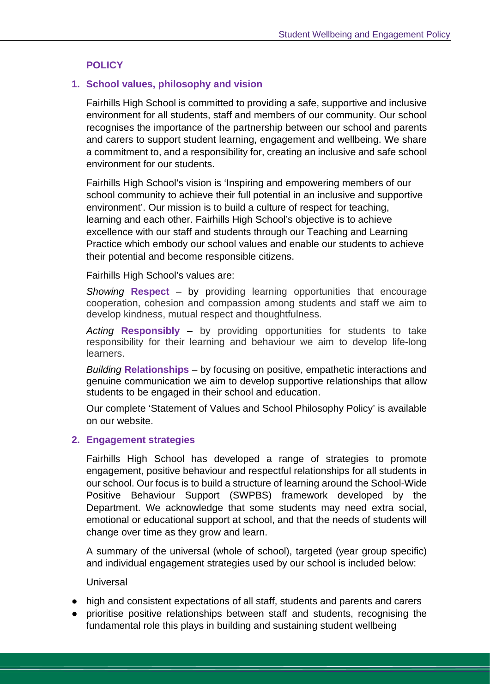#### **POLICY**

#### **1. School values, philosophy and vision**

Fairhills High School is committed to providing a safe, supportive and inclusive environment for all students, staff and members of our community. Our school recognises the importance of the partnership between our school and parents and carers to support student learning, engagement and wellbeing. We share a commitment to, and a responsibility for, creating an inclusive and safe school environment for our students.

Fairhills High School's vision is 'Inspiring and empowering members of our school community to achieve their full potential in an inclusive and supportive environment'. Our mission is to build a culture of respect for teaching, learning and each other. Fairhills High School's objective is to achieve excellence with our staff and students through our Teaching and Learning Practice which embody our school values and enable our students to achieve their potential and become responsible citizens.

Fairhills High School's values are:

*Showing* **Respect** – by providing learning opportunities that encourage cooperation, cohesion and compassion among students and staff we aim to develop kindness, mutual respect and thoughtfulness.

*Acting* **Responsibly** – by providing opportunities for students to take responsibility for their learning and behaviour we aim to develop life-long learners.

*Building* **Relationships** – by focusing on positive, empathetic interactions and genuine communication we aim to develop supportive relationships that allow students to be engaged in their school and education.

Our complete 'Statement of Values and School Philosophy Policy' is available on our website.

#### **2. Engagement strategies**

Fairhills High School has developed a range of strategies to promote engagement, positive behaviour and respectful relationships for all students in our school. Our focus is to build a structure of learning around the School-Wide Positive Behaviour Support (SWPBS) framework developed by the Department. We acknowledge that some students may need extra social, emotional or educational support at school, and that the needs of students will change over time as they grow and learn.

A summary of the universal (whole of school), targeted (year group specific) and individual engagement strategies used by our school is included below:

#### **Universal**

- high and consistent expectations of all staff, students and parents and carers
- prioritise positive relationships between staff and students, recognising the fundamental role this plays in building and sustaining student wellbeing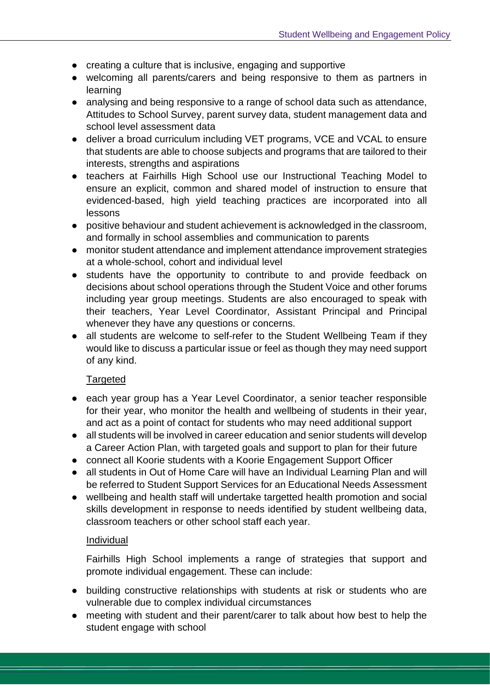- creating a culture that is inclusive, engaging and supportive
- welcoming all parents/carers and being responsive to them as partners in learning
- analysing and being responsive to a range of school data such as attendance, Attitudes to School Survey, parent survey data, student management data and school level assessment data
- deliver a broad curriculum including VET programs, VCE and VCAL to ensure that students are able to choose subjects and programs that are tailored to their interests, strengths and aspirations
- teachers at Fairhills High School use our Instructional Teaching Model to ensure an explicit, common and shared model of instruction to ensure that evidenced-based, high yield teaching practices are incorporated into all lessons
- positive behaviour and student achievement is acknowledged in the classroom, and formally in school assemblies and communication to parents
- monitor student attendance and implement attendance improvement strategies at a whole-school, cohort and individual level
- students have the opportunity to contribute to and provide feedback on decisions about school operations through the Student Voice and other forums including year group meetings. Students are also encouraged to speak with their teachers, Year Level Coordinator, Assistant Principal and Principal whenever they have any questions or concerns.
- all students are welcome to self-refer to the Student Wellbeing Team if they would like to discuss a particular issue or feel as though they may need support of any kind.

#### Targeted

- each year group has a Year Level Coordinator, a senior teacher responsible for their year, who monitor the health and wellbeing of students in their year, and act as a point of contact for students who may need additional support
- all students will be involved in career education and senior students will develop a Career Action Plan, with targeted goals and support to plan for their future
- connect all Koorie students with a Koorie Engagement Support Officer
- all students in Out of Home Care will have an Individual Learning Plan and will be referred to Student Support Services for an Educational Needs Assessment
- wellbeing and health staff will undertake targetted health promotion and social skills development in response to needs identified by student wellbeing data, classroom teachers or other school staff each year.

#### Individual

Fairhills High School implements a range of strategies that support and promote individual engagement. These can include:

- building constructive relationships with students at risk or students who are vulnerable due to complex individual circumstances
- meeting with student and their parent/carer to talk about how best to help the student engage with school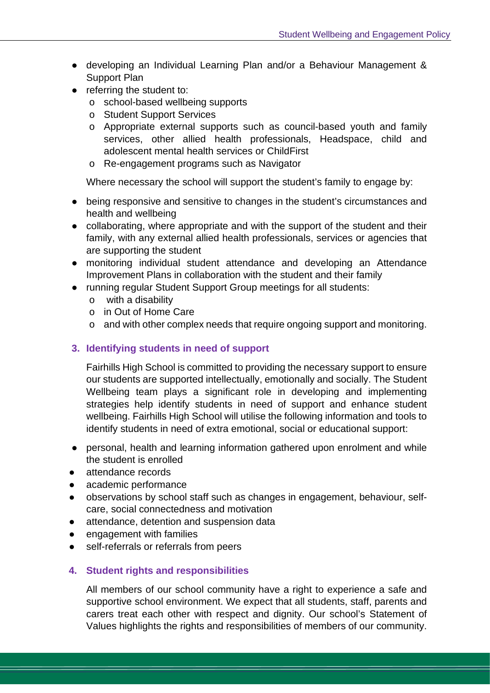- developing an Individual Learning Plan and/or a Behaviour Management & Support Plan
- referring the student to:
	- o school-based wellbeing supports
	- o Student Support Services
	- o Appropriate external supports such as council-based youth and family services, other allied health professionals, Headspace, child and adolescent mental health services or ChildFirst
	- o Re-engagement programs such as Navigator

Where necessary the school will support the student's family to engage by:

- being responsive and sensitive to changes in the student's circumstances and health and wellbeing
- collaborating, where appropriate and with the support of the student and their family, with any external allied health professionals, services or agencies that are supporting the student
- monitoring individual student attendance and developing an Attendance Improvement Plans in collaboration with the student and their family
- running regular Student Support Group meetings for all students:
	- o with a disability
	- o in Out of Home Care
	- o and with other complex needs that require ongoing support and monitoring.

#### **3. Identifying students in need of support**

Fairhills High School is committed to providing the necessary support to ensure our students are supported intellectually, emotionally and socially. The Student Wellbeing team plays a significant role in developing and implementing strategies help identify students in need of support and enhance student wellbeing. Fairhills High School will utilise the following information and tools to identify students in need of extra emotional, social or educational support:

- personal, health and learning information gathered upon enrolment and while the student is enrolled
- attendance records
- academic performance
- observations by school staff such as changes in engagement, behaviour, selfcare, social connectedness and motivation
- attendance, detention and suspension data
- engagement with families
- self-referrals or referrals from peers

#### **4. Student rights and responsibilities**

All members of our school community have a right to experience a safe and supportive school environment. We expect that all students, staff, parents and carers treat each other with respect and dignity. Our school's Statement of Values highlights the rights and responsibilities of members of our community.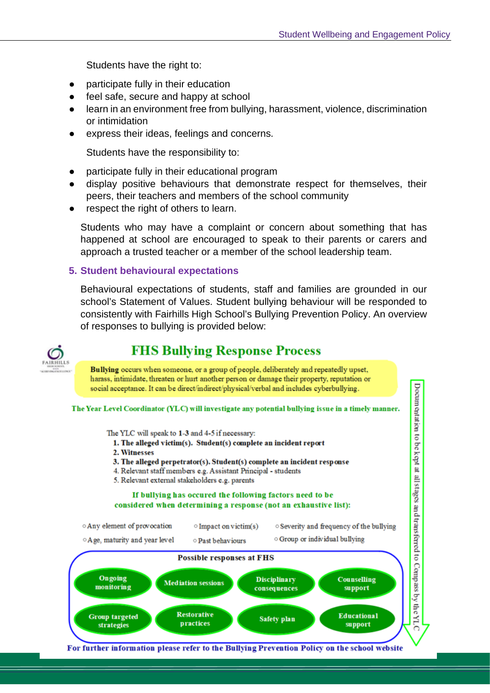Students have the right to:

- participate fully in their education
- feel safe, secure and happy at school
- learn in an environment free from bullying, harassment, violence, discrimination or intimidation
- express their ideas, feelings and concerns.

Students have the responsibility to:

- participate fully in their educational program
- display positive behaviours that demonstrate respect for themselves, their peers, their teachers and members of the school community
- respect the right of others to learn.

Students who may have a complaint or concern about something that has happened at school are encouraged to speak to their parents or carers and approach a trusted teacher or a member of the school leadership team.

#### **5. Student behavioural expectations**

Behavioural expectations of students, staff and families are grounded in our school's Statement of Values. Student bullying behaviour will be responded to consistently with Fairhills High School's Bullying Prevention Policy. An overview of responses to bullying is provided below:



### **FHS Bullying Response Process**



The YLC will speak to 1-3 and 4-5 if necessary:

- 1. The alleged victim(s). Student(s) complete an incident report
- 2. Witnesses
- 3. The alleged perpetrator(s). Student(s) complete an incident response
- 4. Relevant staff members e.g. Assistant Principal students
- 5. Relevant external stakeholders e.g. parents

#### If bullying has occured the following factors need to be considered when determining a response (not an exhaustive list):





For further information please refer to the Bullying Prevention Policy on the school website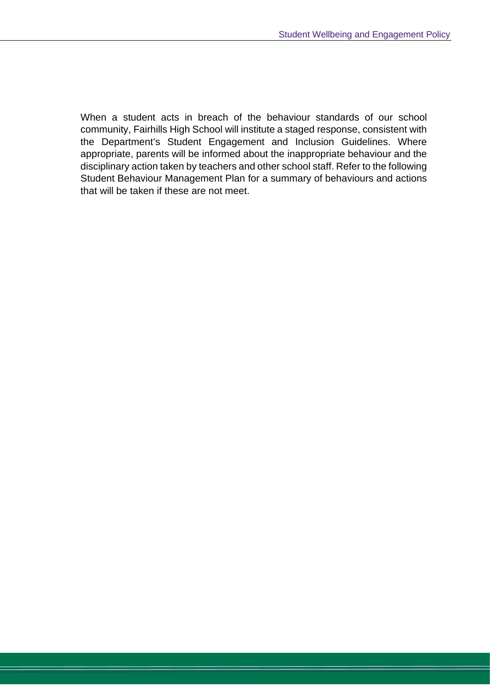When a student acts in breach of the behaviour standards of our school community, Fairhills High School will institute a staged response, consistent with the Department's Student Engagement and Inclusion Guidelines. Where appropriate, parents will be informed about the inappropriate behaviour and the disciplinary action taken by teachers and other school staff. Refer to the following Student Behaviour Management Plan for a summary of behaviours and actions that will be taken if these are not meet.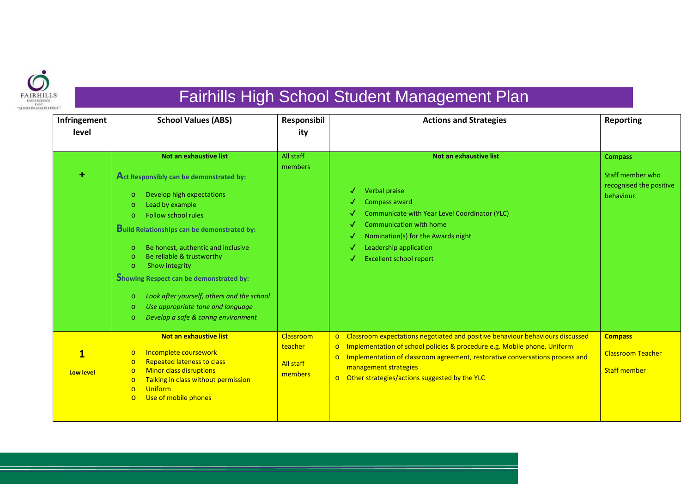

# Fairhills High School Student Management Plan

| Infringement              | <b>School Values (ABS)</b>                                                                                                                                                                                                                                                                                                                                                                                                                                                                                                               | Responsibil                                         | <b>Actions and Strategies</b>                                                                                                                                                                                                                                                                                                                                   | <b>Reporting</b>                                                  |
|---------------------------|------------------------------------------------------------------------------------------------------------------------------------------------------------------------------------------------------------------------------------------------------------------------------------------------------------------------------------------------------------------------------------------------------------------------------------------------------------------------------------------------------------------------------------------|-----------------------------------------------------|-----------------------------------------------------------------------------------------------------------------------------------------------------------------------------------------------------------------------------------------------------------------------------------------------------------------------------------------------------------------|-------------------------------------------------------------------|
| level                     |                                                                                                                                                                                                                                                                                                                                                                                                                                                                                                                                          | ity                                                 |                                                                                                                                                                                                                                                                                                                                                                 |                                                                   |
|                           |                                                                                                                                                                                                                                                                                                                                                                                                                                                                                                                                          |                                                     |                                                                                                                                                                                                                                                                                                                                                                 |                                                                   |
|                           | Not an exhaustive list                                                                                                                                                                                                                                                                                                                                                                                                                                                                                                                   | All staff                                           | Not an exhaustive list                                                                                                                                                                                                                                                                                                                                          | <b>Compass</b>                                                    |
| $\ddot{}$                 | Act Responsibly can be demonstrated by:<br>Develop high expectations<br>$\circ$<br>Lead by example<br>$\circ$<br>Follow school rules<br>$\circ$<br><b>Build Relationships can be demonstrated by:</b><br>Be honest, authentic and inclusive<br>$\circ$<br>Be reliable & trustworthy<br>$\circ$<br>Show integrity<br>$\circ$<br><b>Showing Respect can be demonstrated by:</b><br>Look after yourself, others and the school<br>$\circ$<br>Use appropriate tone and language<br>$\circ$<br>Develop a safe & caring environment<br>$\circ$ | members                                             | Verbal praise<br>√<br>Compass award<br>Communicate with Year Level Coordinator (YLC)<br>s<br><b>Communication with home</b><br>Nomination(s) for the Awards night<br>√<br>Leadership application<br>√<br><b>Excellent school report</b>                                                                                                                         | Staff member who<br>recognised the positive<br>behaviour.         |
| $\mathbf{1}$<br>Low level | Not an exhaustive list<br>Incomplete coursework<br>$\circ$<br><b>Repeated lateness to class</b><br>$\circ$<br><b>Minor class disruptions</b><br>$\circ$<br>Talking in class without permission<br>$\circ$<br><b>Uniform</b><br>$\Omega$<br>Use of mobile phones<br>$\circ$                                                                                                                                                                                                                                                               | Classroom<br>teacher<br><b>All staff</b><br>members | Classroom expectations negotiated and positive behaviour behaviours discussed<br>$\circ$<br>Implementation of school policies & procedure e.g. Mobile phone, Uniform<br>$\circ$<br>Implementation of classroom agreement, restorative conversations process and<br>$\circ$<br>management strategies<br>Other strategies/actions suggested by the YLC<br>$\circ$ | <b>Compass</b><br><b>Classroom Teacher</b><br><b>Staff member</b> |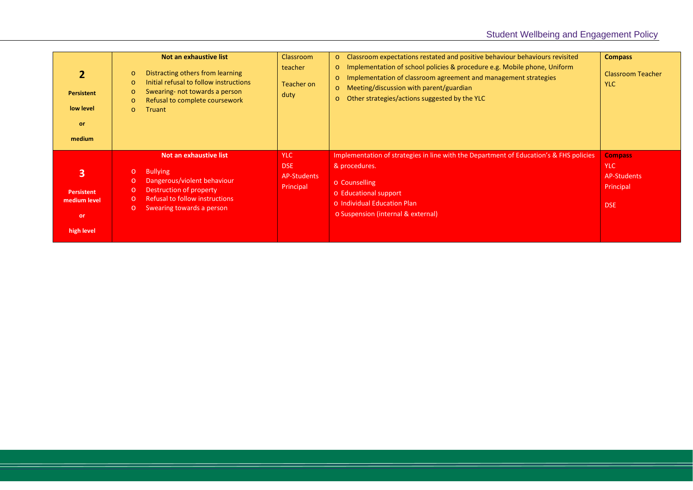| <b>Persistent</b><br>low level<br>or<br>medium                    | Not an exhaustive list<br>Distracting others from learning<br>$\circ$<br>Initial refusal to follow instructions<br>$\circ$<br>Swearing- not towards a person<br>$\circ$<br>Refusal to complete coursework<br>$\circ$<br><b>Truant</b><br>$\Omega$ | <b>Classroom</b><br>teacher<br>Teacher on<br>duty    | o Classroom expectations restated and positive behaviour behaviours revisited<br>o Implementation of school policies & procedure e.g. Mobile phone, Uniform<br>Implementation of classroom agreement and management strategies<br>$\circ$<br>Meeting/discussion with parent/guardian<br>$\circ$<br>Other strategies/actions suggested by the YLC<br>$\circ$ | <b>Compass</b><br><b>Classroom Teacher</b><br><b>YLC</b>               |
|-------------------------------------------------------------------|---------------------------------------------------------------------------------------------------------------------------------------------------------------------------------------------------------------------------------------------------|------------------------------------------------------|-------------------------------------------------------------------------------------------------------------------------------------------------------------------------------------------------------------------------------------------------------------------------------------------------------------------------------------------------------------|------------------------------------------------------------------------|
| 3<br><b>Persistent</b><br>medium level<br><b>or</b><br>high level | Not an exhaustive list<br><b>Bullying</b><br>$\circ$<br>Dangerous/violent behaviour<br>$\circ$<br>Destruction of property<br>$\circ$<br><b>Refusal to follow instructions</b><br>$\circ$<br>Swearing towards a person<br>$\circ$                  | <b>YLC</b><br><b>DSE</b><br>AP-Students<br>Principal | Implementation of strategies in line with the Department of Education's & FHS policies<br>& procedures.<br>o Counselling<br>o Educational support<br>o Individual Education Plan<br>o Suspension (internal & external)                                                                                                                                      | <b>Compass</b><br><b>YLC</b><br>AP-Students<br>Principal<br><b>DSE</b> |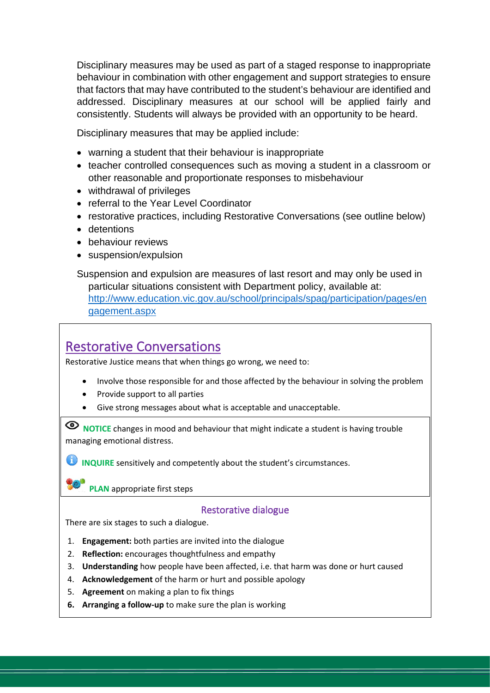Disciplinary measures may be used as part of a staged response to inappropriate behaviour in combination with other engagement and support strategies to ensure that factors that may have contributed to the student's behaviour are identified and addressed. Disciplinary measures at our school will be applied fairly and consistently. Students will always be provided with an opportunity to be heard.

Disciplinary measures that may be applied include:

- warning a student that their behaviour is inappropriate
- teacher controlled consequences such as moving a student in a classroom or other reasonable and proportionate responses to misbehaviour
- withdrawal of privileges
- referral to the Year Level Coordinator
- restorative practices, including Restorative Conversations (see outline below)
- detentions
- behaviour reviews
- suspension/expulsion

Suspension and expulsion are measures of last resort and may only be used in particular situations consistent with Department policy, available at: [http://www.education.vic.gov.au/school/principals/spag/participation/pages/en](http://www.education.vic.gov.au/school/principals/spag/participation/pages/engagement.aspx) [gagement.aspx](http://www.education.vic.gov.au/school/principals/spag/participation/pages/engagement.aspx)

## Restorative Conversations

Restorative Justice means that when things go wrong, we need to:

- Involve those responsible for and those affected by the behaviour in solving the problem
- Provide support to all parties
- Give strong messages about what is acceptable and unacceptable.

**ID NOTICE** changes in mood and behaviour that might indicate a student is having trouble managing emotional distress.

**INQUIRE** sensitively and competently about the student's circumstances.

**PLAN** appropriate first steps

#### Restorative dialogue

There are six stages to such a dialogue.

- 1. **Engagement:** both parties are invited into the dialogue
- 2. **Reflection:** encourages thoughtfulness and empathy
- 3. **Understanding** how people have been affected, i.e. that harm was done or hurt caused
- 4. **Acknowledgement** of the harm or hurt and possible apology
- 5. **Agreement** on making a plan to fix things
- **6. Arranging a follow-up** to make sure the plan is working